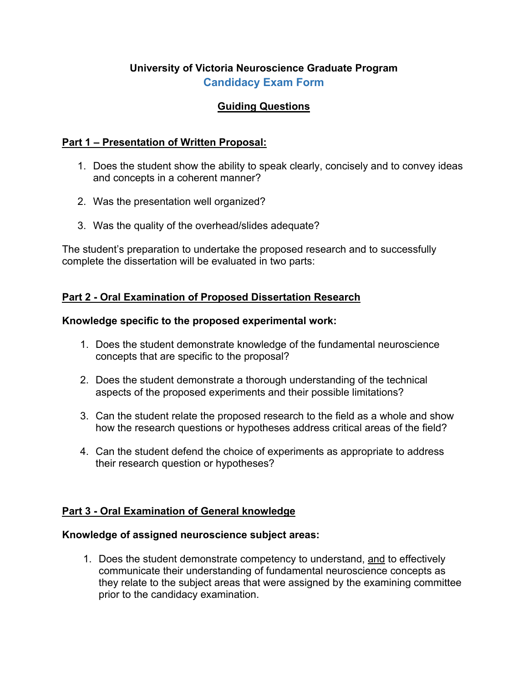# **University of Victoria Neuroscience Graduate Program Candidacy Exam Form**

### **Guiding Questions**

### **Part 1 – Presentation of Written Proposal:**

- 1. Does the student show the ability to speak clearly, concisely and to convey ideas and concepts in a coherent manner?
- 2. Was the presentation well organized?
- 3. Was the quality of the overhead/slides adequate?

The student's preparation to undertake the proposed research and to successfully complete the dissertation will be evaluated in two parts:

### **Part 2 - Oral Examination of Proposed Dissertation Research**

#### **Knowledge specific to the proposed experimental work:**

- 1. Does the student demonstrate knowledge of the fundamental neuroscience concepts that are specific to the proposal?
- 2. Does the student demonstrate a thorough understanding of the technical aspects of the proposed experiments and their possible limitations?
- 3. Can the student relate the proposed research to the field as a whole and show how the research questions or hypotheses address critical areas of the field?
- 4. Can the student defend the choice of experiments as appropriate to address their research question or hypotheses?

### **Part 3 - Oral Examination of General knowledge**

#### **Knowledge of assigned neuroscience subject areas:**

1. Does the student demonstrate competency to understand, and to effectively communicate their understanding of fundamental neuroscience concepts as they relate to the subject areas that were assigned by the examining committee prior to the candidacy examination.